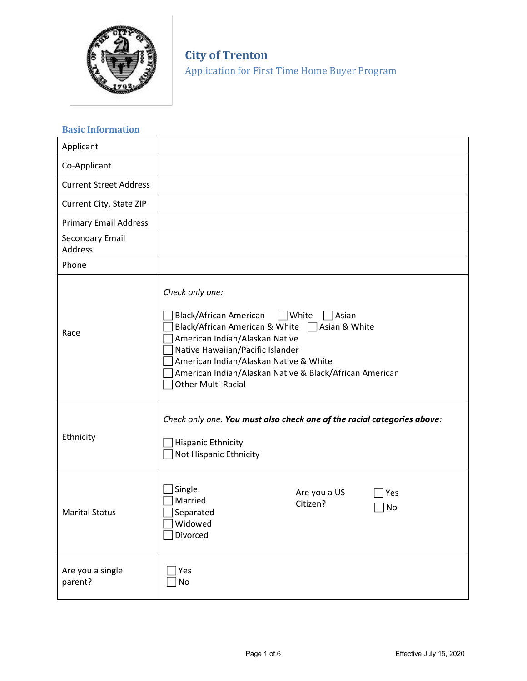

**City of Trenton**  Application for First Time Home Buyer Program

# **Basic Information**

| Applicant                     |                                                                                                                                                                                                                                                                                                                         |  |  |  |
|-------------------------------|-------------------------------------------------------------------------------------------------------------------------------------------------------------------------------------------------------------------------------------------------------------------------------------------------------------------------|--|--|--|
| Co-Applicant                  |                                                                                                                                                                                                                                                                                                                         |  |  |  |
| <b>Current Street Address</b> |                                                                                                                                                                                                                                                                                                                         |  |  |  |
| Current City, State ZIP       |                                                                                                                                                                                                                                                                                                                         |  |  |  |
| <b>Primary Email Address</b>  |                                                                                                                                                                                                                                                                                                                         |  |  |  |
| Secondary Email<br>Address    |                                                                                                                                                                                                                                                                                                                         |  |  |  |
| Phone                         |                                                                                                                                                                                                                                                                                                                         |  |  |  |
| Race                          | Check only one:<br>Black/African American<br>  White<br>Asian<br>Black/African American & White   Asian & White<br>American Indian/Alaskan Native<br>Native Hawaiian/Pacific Islander<br>American Indian/Alaskan Native & White<br>American Indian/Alaskan Native & Black/African American<br><b>Other Multi-Racial</b> |  |  |  |
| Ethnicity                     | Check only one. You must also check one of the racial categories above:<br><b>Hispanic Ethnicity</b><br>Not Hispanic Ethnicity                                                                                                                                                                                          |  |  |  |
| <b>Marital Status</b>         | Single<br>Are you a US<br>Yes<br>Married<br>Citizen?<br>No<br>Separated<br>$\exists$ Widowed<br>Divorced                                                                                                                                                                                                                |  |  |  |
| Are you a single<br>parent?   | Yes<br>No                                                                                                                                                                                                                                                                                                               |  |  |  |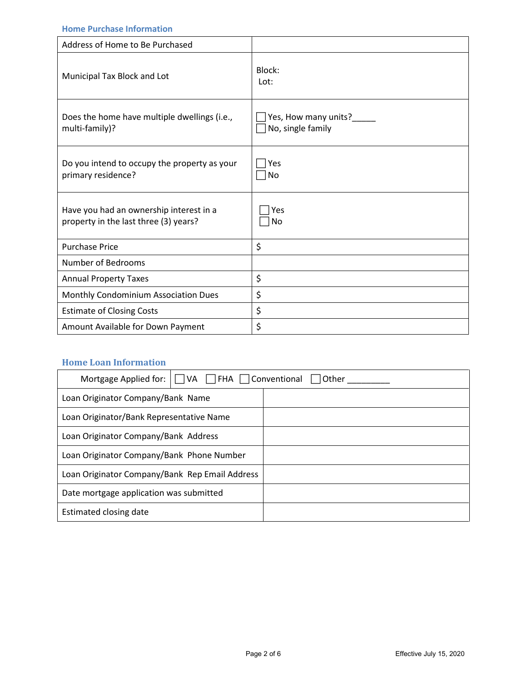### **Home Purchase Information**

| Address of Home to Be Purchased                                                  |                                               |
|----------------------------------------------------------------------------------|-----------------------------------------------|
| Municipal Tax Block and Lot                                                      | Block:<br>Lot:                                |
| Does the home have multiple dwellings (i.e.,<br>multi-family)?                   | Yes, How many units?____<br>No, single family |
| Do you intend to occupy the property as your<br>primary residence?               | Yes<br>No                                     |
| Have you had an ownership interest in a<br>property in the last three (3) years? | Yes<br>No                                     |
| <b>Purchase Price</b>                                                            | \$                                            |
| Number of Bedrooms                                                               |                                               |
| <b>Annual Property Taxes</b>                                                     | \$                                            |
| Monthly Condominium Association Dues                                             | \$                                            |
| <b>Estimate of Closing Costs</b>                                                 | \$                                            |
| Amount Available for Down Payment                                                | \$                                            |

### **Home Loan Information**

| Mortgage Applied for: $\Box$ VA $\Box$ FHA $\Box$ Conventional $\Box$<br> Other |  |  |  |  |
|---------------------------------------------------------------------------------|--|--|--|--|
| Loan Originator Company/Bank Name                                               |  |  |  |  |
| Loan Originator/Bank Representative Name                                        |  |  |  |  |
| Loan Originator Company/Bank Address                                            |  |  |  |  |
| Loan Originator Company/Bank Phone Number                                       |  |  |  |  |
| Loan Originator Company/Bank Rep Email Address                                  |  |  |  |  |
| Date mortgage application was submitted                                         |  |  |  |  |
| Estimated closing date                                                          |  |  |  |  |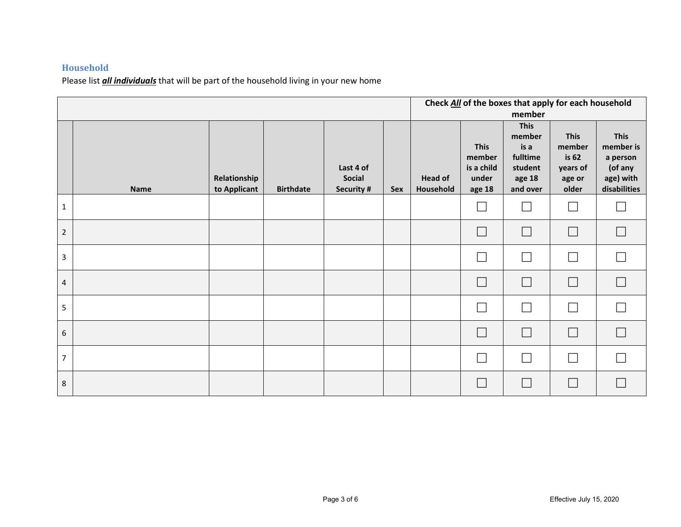### **Household**

Please list *all individuals* that will be part of the household living in your new home

|                  |             |                              |                  |                                          | Check All of the boxes that apply for each household<br>member |                             |                                                        |                                                                            |                                                               |                                                                              |
|------------------|-------------|------------------------------|------------------|------------------------------------------|----------------------------------------------------------------|-----------------------------|--------------------------------------------------------|----------------------------------------------------------------------------|---------------------------------------------------------------|------------------------------------------------------------------------------|
|                  | <b>Name</b> | Relationship<br>to Applicant | <b>Birthdate</b> | Last 4 of<br><b>Social</b><br>Security # | <b>Sex</b>                                                     | <b>Head of</b><br>Household | <b>This</b><br>member<br>is a child<br>under<br>age 18 | <b>This</b><br>member<br>is a<br>fulltime<br>student<br>age 18<br>and over | <b>This</b><br>member<br>is 62<br>years of<br>age or<br>older | <b>This</b><br>member is<br>a person<br>(of any<br>age) with<br>disabilities |
| $\mathbf{1}$     |             |                              |                  |                                          |                                                                |                             |                                                        | П                                                                          |                                                               | $\overline{\phantom{a}}$                                                     |
| $\overline{2}$   |             |                              |                  |                                          |                                                                |                             |                                                        | $\Box$                                                                     | $\overline{\phantom{a}}$                                      | $\Box$                                                                       |
| $\overline{3}$   |             |                              |                  |                                          |                                                                |                             |                                                        | $\overline{\phantom{a}}$                                                   |                                                               | $\Box$                                                                       |
| $\overline{4}$   |             |                              |                  |                                          |                                                                |                             | $\mathbf{L}$                                           | $\Box$                                                                     | $\Box$                                                        | $\Box$                                                                       |
| 5                |             |                              |                  |                                          |                                                                |                             |                                                        | $\Box$                                                                     |                                                               | $\Box$                                                                       |
| $\boldsymbol{6}$ |             |                              |                  |                                          |                                                                |                             | e s                                                    | $\Box$                                                                     | $\Box$                                                        | $\Box$                                                                       |
| $\overline{7}$   |             |                              |                  |                                          |                                                                |                             |                                                        | $\overline{\phantom{a}}$                                                   |                                                               | $\Box$                                                                       |
| 8                |             |                              |                  |                                          |                                                                |                             |                                                        | $\overline{\phantom{a}}$                                                   | $\Box$                                                        | $\Box$                                                                       |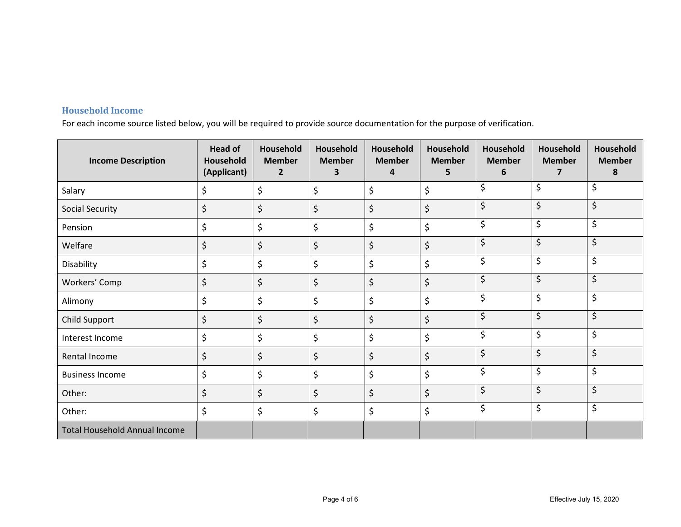# **Household Income**

For each income source listed below, you will be required to provide source documentation for the purpose of verification.

| <b>Income Description</b>            | <b>Head of</b><br>Household<br>(Applicant) | Household<br><b>Member</b><br>$\overline{2}$ | Household<br><b>Member</b><br>3 | Household<br><b>Member</b><br>4 | Household<br><b>Member</b><br>5 | Household<br><b>Member</b><br>6 | Household<br><b>Member</b><br>$\overline{7}$ | Household<br><b>Member</b><br>8 |
|--------------------------------------|--------------------------------------------|----------------------------------------------|---------------------------------|---------------------------------|---------------------------------|---------------------------------|----------------------------------------------|---------------------------------|
| Salary                               | \$                                         | \$                                           | \$                              | \$                              | \$                              | \$                              | \$                                           | \$                              |
| Social Security                      | \$                                         | \$                                           | \$                              | \$                              | \$                              | \$                              | \$                                           | \$                              |
| Pension                              | \$                                         | \$                                           | \$                              | \$                              | \$                              | \$                              | \$                                           | \$                              |
| Welfare                              | \$                                         | \$                                           | \$                              | \$                              | \$                              | \$                              | \$                                           | \$                              |
| Disability                           | \$                                         | \$                                           | \$                              | \$                              | \$                              | \$                              | \$                                           | \$                              |
| Workers' Comp                        | \$                                         | \$                                           | \$                              | \$                              | \$                              | \$                              | \$                                           | \$                              |
| Alimony                              | \$                                         | \$                                           | \$                              | \$                              | \$                              | \$                              | \$                                           | \$                              |
| Child Support                        | \$                                         | \$                                           | \$                              | \$                              | \$                              | \$                              | \$                                           | \$                              |
| Interest Income                      | \$                                         | \$                                           | \$                              | \$                              | \$                              | \$                              | \$                                           | \$                              |
| Rental Income                        | \$                                         | \$                                           | \$                              | \$                              | \$                              | \$                              | \$                                           | \$                              |
| <b>Business Income</b>               | \$                                         | \$                                           | \$                              | \$                              | \$                              | \$                              | \$                                           | \$                              |
| Other:                               | \$                                         | \$                                           | \$                              | \$                              | \$                              | \$                              | \$                                           | \$                              |
| Other:                               | \$                                         | \$                                           | \$                              | \$                              | \$                              | \$                              | \$                                           | \$                              |
| <b>Total Household Annual Income</b> |                                            |                                              |                                 |                                 |                                 |                                 |                                              |                                 |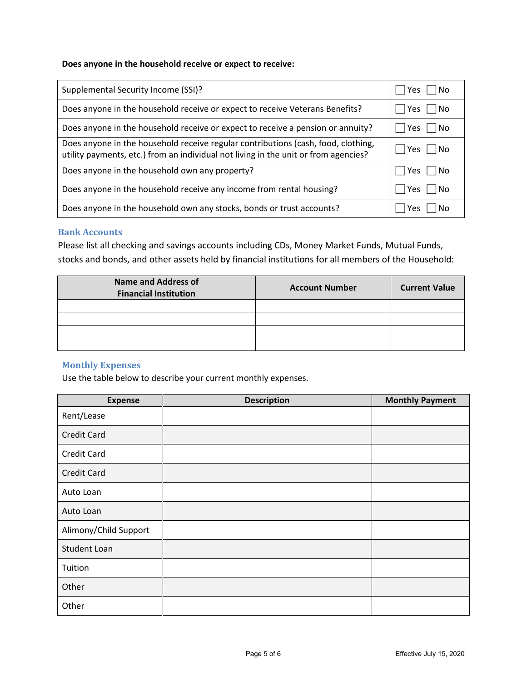#### **Does anyone in the household receive or expect to receive:**

| Supplemental Security Income (SSI)?                                                                                                                                      | $ $   Yes     No  |
|--------------------------------------------------------------------------------------------------------------------------------------------------------------------------|-------------------|
| Does anyone in the household receive or expect to receive Veterans Benefits?                                                                                             | Yes  <br>l INo    |
| Does anyone in the household receive or expect to receive a pension or annuity?                                                                                          | Yes    No         |
| Does anyone in the household receive regular contributions (cash, food, clothing,<br>utility payments, etc.) from an individual not living in the unit or from agencies? | Yes    No         |
| Does anyone in the household own any property?                                                                                                                           | l lYes l<br>∣ INo |
| Does anyone in the household receive any income from rental housing?                                                                                                     | i Yes<br>l No     |
| Does anyone in the household own any stocks, bonds or trust accounts?                                                                                                    | l No<br>Yes.      |

#### **Bank Accounts**

Please list all checking and savings accounts including CDs, Money Market Funds, Mutual Funds, stocks and bonds, and other assets held by financial institutions for all members of the Household:

| <b>Name and Address of</b><br><b>Financial Institution</b> | <b>Account Number</b> | <b>Current Value</b> |
|------------------------------------------------------------|-----------------------|----------------------|
|                                                            |                       |                      |
|                                                            |                       |                      |
|                                                            |                       |                      |
|                                                            |                       |                      |

### **Monthly Expenses**

Use the table below to describe your current monthly expenses.

| <b>Expense</b>        | <b>Description</b> | <b>Monthly Payment</b> |
|-----------------------|--------------------|------------------------|
| Rent/Lease            |                    |                        |
| <b>Credit Card</b>    |                    |                        |
| <b>Credit Card</b>    |                    |                        |
| <b>Credit Card</b>    |                    |                        |
| Auto Loan             |                    |                        |
| Auto Loan             |                    |                        |
| Alimony/Child Support |                    |                        |
| <b>Student Loan</b>   |                    |                        |
| Tuition               |                    |                        |
| Other                 |                    |                        |
| Other                 |                    |                        |